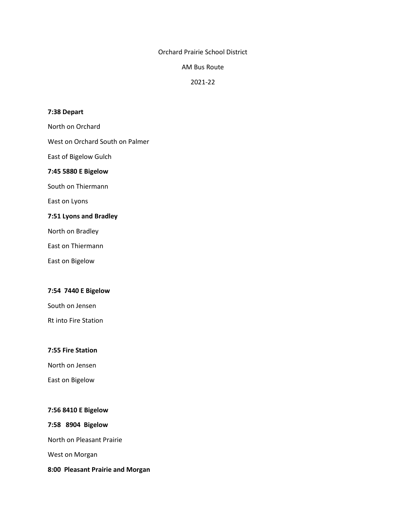## Orchard Prairie School District

### AM Bus Route

# 2021-22

### **7:38 Depart**

North on Orchard

West on Orchard South on Palmer

East of Bigelow Gulch

### **7:45 5880 E Bigelow**

South on Thiermann

East on Lyons

## **7:51 Lyons and Bradley**

North on Bradley

East on Thiermann

East on Bigelow

## **7:54 7440 E Bigelow**

South on Jensen

Rt into Fire Station

## **7:55 Fire Station**

North on Jensen

East on Bigelow

## **7:56 8410 E Bigelow**

**7:58 8904 Bigelow**

North on Pleasant Prairie

West on Morgan

**8:00 Pleasant Prairie and Morgan**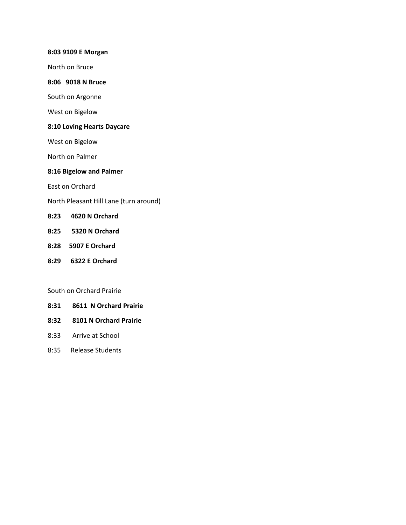### **8:03 9109 E Morgan**

North on Bruce

## **8:06 9018 N Bruce**

South on Argonne

West on Bigelow

# **8:10 Loving Hearts Daycare**

West on Bigelow

North on Palmer

## **8:16 Bigelow and Palmer**

East on Orchard

North Pleasant Hill Lane (turn around)

## **8:23 4620 N Orchard**

- **8:25 5320 N Orchard**
- **8:28 5907 E Orchard**
- **8:29 6322 E Orchard**

### South on Orchard Prairie

- **8:31 8611 N Orchard Prairie**
- **8:32 8101 N Orchard Prairie**
- 8:33 Arrive at School
- 8:35 Release Students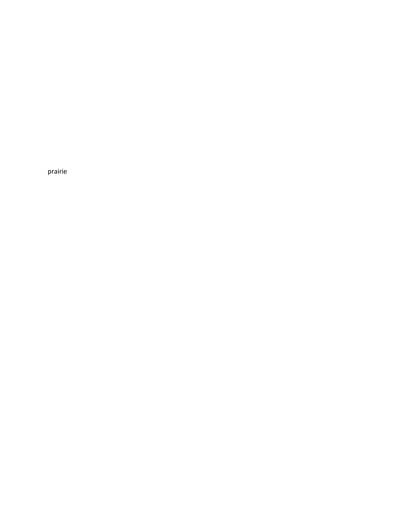prairie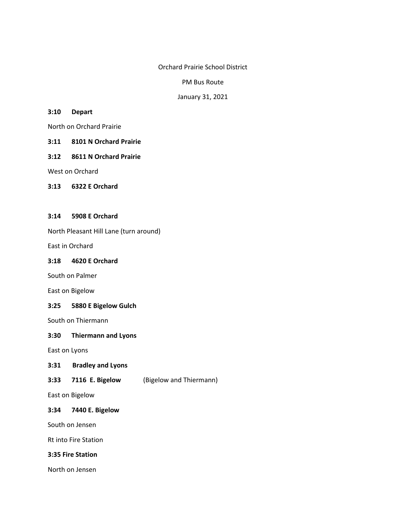Orchard Prairie School District

PM Bus Route

January 31, 2021

### **3:10 Depart**

North on Orchard Prairie

- **3:11 8101 N Orchard Prairie**
- **3:12 8611 N Orchard Prairie**

West on Orchard

**3:13 6322 E Orchard**

## **3:14 5908 E Orchard**

North Pleasant Hill Lane (turn around)

East in Orchard

## **3:18 4620 E Orchard**

South on Palmer

East on Bigelow

## **3:25 5880 E Bigelow Gulch**

South on Thiermann

## **3:30 Thiermann and Lyons**

East on Lyons

- **3:31 Bradley and Lyons**
- **3:33 7116 E. Bigelow** (Bigelow and Thiermann)

East on Bigelow

### **3:34 7440 E. Bigelow**

South on Jensen

Rt into Fire Station

## **3:35 Fire Station**

North on Jensen